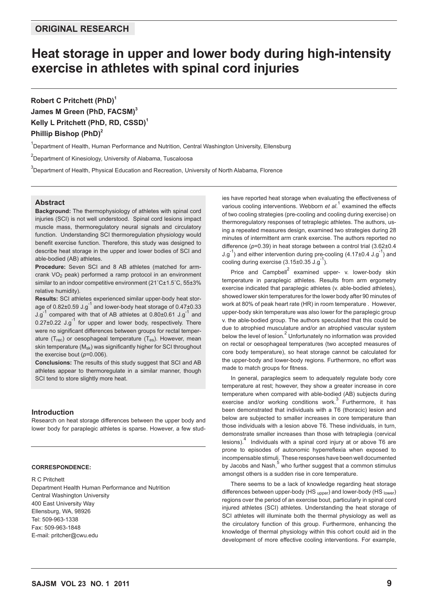# **Heat storage in upper and lower body during high-intensity exercise in athletes with spinal cord injuries**

**Robert C Pritchett (PhD)<sup>1</sup> James M Green (PhD, FACSM)<sup>3</sup>** Kelly L Pritchett (PhD, RD, CSSD)<sup>1</sup> **Phillip Bishop (PhD)<sup>2</sup>** 

<sup>1</sup>Department of Health, Human Performance and Nutrition, Central Washington University, Ellensburg

<sup>2</sup>Department of Kinesiology, University of Alabama, Tuscaloosa

 ${}^{3}$ Department of Health, Physical Education and Recreation, University of North Alabama, Florence

# **Abstract**

**Background:** The thermophysiology of athletes with spinal cord injuries (SCI) is not well understood. Spinal cord lesions impact muscle mass, thermoregulatory neural signals and circulatory function. Understanding SCI thermoregulation physiology would benefit exercise function. Therefore, this study was designed to describe heat storage in the upper and lower bodies of SCI and able-bodied (AB) athletes.

**Procedure:** Seven SCI and 8 AB athletes (matched for armcrank  $VO<sub>2</sub>$  peak) performed a ramp protocol in an environment similar to an indoor competitive environment (21˚C±1.5˚C, 55±3% relative humidity).

**Results:** SCI athletes experienced similar upper-body heat storage of  $0.82\pm0.59$  J.g<sup>-1</sup> and lower-body heat storage of  $0.47\pm0.33$  $J.g^{-1}$  compared with that of AB athletes at 0.80 $\pm$ 0.61 J.g<sup>-1</sup> and  $0.27\pm0.22$  J.g<sup>-1</sup> for upper and lower body, respectively. There were no significant differences between groups for rectal temperature (T<sub>rec</sub>) or oesophageal temperature (T<sub>es</sub>). However, mean skin temperature (M<sub>sk</sub>) was significantly higher for SCI throughout the exercise bout (*p*=0.006).

**Conclusions:** The results of this study suggest that SCI and AB athletes appear to thermoregulate in a similar manner, though SCI tend to store slightly more heat.

## **Introduction**

Research on heat storage differences between the upper body and lower body for paraplegic athletes is sparse. However, a few stud-

#### **CORRESPONDENCE:**

R C Pritchett Department Health Human Performance and Nutrition Central Washington University 400 East University Way Ellensburg, WA, 98926 Tel: 509-963-1338 Fax: 509-963-1848 E-mail: pritcher@cwu.edu

ies have reported heat storage when evaluating the effectiveness of various cooling interventions. Webborn *et al.*<sup>1</sup> examined the effects of two cooling strategies (pre-cooling and cooling during exercise) on thermoregulatory responses of tetraplegic athletes. The authors, using a repeated measures design, examined two strategies during 28 minutes of intermittent arm crank exercise. The authors reported no difference (*p*=0.39) in heat storage between a control trial (3.62±0.4  $J.g^{-1}$ ) and either intervention during pre-cooling  $(4.17\pm0.4 J.g^{-1})$  and cooling during exercise  $(3.15\pm0.35 \text{ J} \cdot \text{g}^{-1})$ .

Price and Campbell<sup>2</sup> examined upper- v. lower-body skin temperature in paraplegic athletes. Results from arm ergometry exercise indicated that paraplegic athletes (v. able-bodied athletes), showed lower skin temperatures for the lower body after 90 minutes of work at 80% of peak heart rate (HR) in room temperature . However, upper-body skin temperature was also lower for the paraplegic group v. the able-bodied group. The authors speculated that this could be due to atrophied musculature and/or an atrophied vascular system below the level of lesion.<sup>2</sup> Unfortunately no information was provided on rectal or oesophageal temperatures (two accepted measures of core body temperature), so heat storage cannot be calculated for the upper-body and lower-body regions. Furthermore, no effort was made to match groups for fitness.

In general, paraplegics seem to adequately regulate body core temperature at rest; however, they show a greater increase in core temperature when compared with able-bodied (AB) subjects during exercise and/or working conditions work.<sup>3</sup> Furthermore, it has been demonstrated that individuals with a T6 (thoracic) lesion and below are subjected to smaller increases in core temperature than those individuals with a lesion above T6. These individuals, in turn, demonstrate smaller increases than those with tetraplegia (cervical lesions). $4$  Individuals with a spinal cord injury at or above T6 are prone to episodes of autonomic hyperreflexia when exposed to incompensable stimuli. These responses have been well documented by Jacobs and Nash,<sup>5</sup> who further suggest that a common stimulus amongst others is a sudden rise in core temperature.

There seems to be a lack of knowledge regarding heat storage differences between upper-body (HS upper) and lower-body (HS lower) regions over the period of an exercise bout, particularly in spinal cord injured athletes (SCI) athletes. Understanding the heat storage of SCI athletes will illuminate both the thermal physiology as well as the circulatory function of this group. Furthermore, enhancing the knowledge of thermal physiology within this cohort could aid in the development of more effective cooling interventions. For example,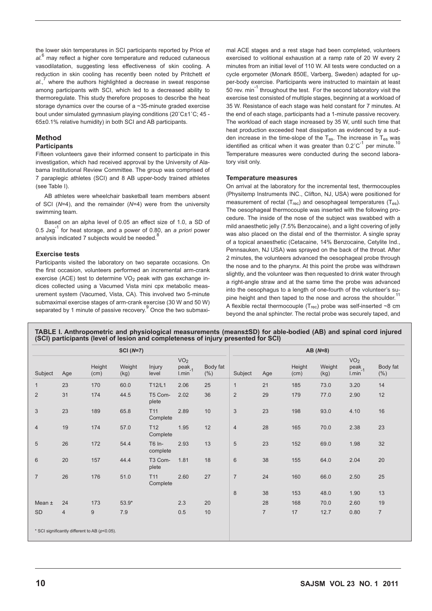the lower skin temperatures in SCI participants reported by Price *et al*. 6 may reflect a higher core temperature and reduced cutaneous vasodilatation, suggesting less effectiveness of skin cooling. A reduction in skin cooling has recently been noted by Pritchett *et*  al.,<sup>7</sup> where the authors highlighted a decrease in sweat response among participants with SCI, which led to a decreased ability to thermoregulate. This study therefore proposes to describe the heat storage dynamics over the course of a ~35-minute graded exercise bout under simulated gymnasium playing conditions (20˚C±1˚C; 45 - 65±0.1% relative humidity) in both SCI and AB participants.

# **Method**

## **Participants**

Fifteen volunteers gave their informed consent to participate in this investigation, which had received approval by the University of Alabama Institutional Review Committee. The group was comprised of 7 paraplegic athletes (SCI) and 8 AB upper-body trained athletes (see Table I).

AB athletes were wheelchair basketball team members absent of SCI (*N*=4), and the remainder (*N*=4) were from the university swimming team.

Based on an alpha level of 0.05 an effect size of 1.0, a SD of 0.5 Jxg-1 for heat storage, and a power of 0.80, an *a priori* power analysis indicated 7 subjects would be needed.

## **Exercise tests**

Participants visited the laboratory on two separate occasions. On the first occasion, volunteers performed an incremental arm-crank exercise (ACE) test to determine VO<sub>2</sub> peak with gas exchange indices collected using a Vacumed Vista mini cpx metabolic measurement system (Vacumed, Vista, CA). This involved two 5-minute submaximal exercise stages of arm-crank exercise (30 W and 50 W) separated by 1 minute of passive recovery.<sup>9</sup> Once the two submaximal ACE stages and a rest stage had been completed, volunteers exercised to volitional exhaustion at a ramp rate of 20 W every 2 minutes from an initial level of 110 W. All tests were conducted on a cycle ergometer (Monark 850E, Varberg, Sweden) adapted for upper-body exercise. Participants were instructed to maintain at least 50 rev.  $min^{-1}$  throughout the test. For the second laboratory visit the exercise test consisted of multiple stages, beginning at a workload of 35 W. Resistance of each stage was held constant for 7 minutes. At the end of each stage, participants had a 1-minute passive recovery. The workload of each stage increased by 35 W, until such time that heat production exceeded heat dissipation as evidenced by a sudden increase in the time-slope of the Tes. The increase in Tes was identified as critical when it was greater than  $0.2^{\circ}C^{-1}$  per minute.<sup>10</sup> Temperature measures were conducted during the second laboratory visit only.

### **Temperature measures**

On arrival at the laboratory for the incremental test, thermocouples (Physitemp Instruments INC., Clifton, NJ, USA) were positioned for measurement of rectal (T<sub>rec</sub>) and oesophageal temperatures (T<sub>es</sub>). The oesophageal thermocouple was inserted with the following procedure. The inside of the nose of the subject was swabbed with a mild anaesthetic jelly (7.5% Benzocaine), and a light covering of jelly was also placed on the distal end of the thermistor. A single spray of a topical anaesthetic (Cetacaine, 14% Benzocaine, Cetylite Ind., Pennsauken, NJ USA) was sprayed on the back of the throat. After 2 minutes, the volunteers advanced the oesophageal probe through the nose and to the pharynx. At this point the probe was withdrawn slightly, and the volunteer was then requested to drink water through a right-angle straw and at the same time the probe was advanced into the oesophagus to a length of one-fourth of the volunteer's supine height and then taped to the nose and across the shoulder.<sup>11</sup> A flexible rectal thermocouple  $(T_{rec})$  probe was self-inserted ~8 cm beyond the anal sphincter. The rectal probe was securely taped, and

**TABLE I. Anthropometric and physiological measurements (means±SD) for able-bodied (AB) and spinal cord injured (SCI) participants (level of lesion and completeness of injury presented for SCI)**

|                |                                               |                | $SCI(N=7)$     |                             |                                               |                  |                | $AB(N=8)$      |                |                |                                  |                  |  |
|----------------|-----------------------------------------------|----------------|----------------|-----------------------------|-----------------------------------------------|------------------|----------------|----------------|----------------|----------------|----------------------------------|------------------|--|
| Subject        | Age                                           | Height<br>(cm) | Weight<br>(kg) | Injury<br>level             | VO <sub>2</sub><br>peak <sub>1</sub><br>l.min | Body fat<br>(% ) | Subject        | Age            | Height<br>(cm) | Weight<br>(kg) | VO <sub>2</sub><br>peak<br>l.min | Body fat<br>(% ) |  |
| 1              | 23                                            | 170            | 60.0           | T12/L1                      | 2.06                                          | 25               | $\mathbf{1}$   | 21             | 185            | 73.0           | 3.20                             | 14               |  |
| $\overline{2}$ | 31                                            | 174            | 44.5           | T5 Com-<br>plete            | 2.02                                          | 36               | $\overline{2}$ | 29             | 179            | 77.0           | 2.90                             | 12               |  |
| 3              | 23                                            | 189            | 65.8           | T11<br>Complete             | 2.89                                          | 10               | $\mathfrak{Z}$ | 23             | 198            | 93.0           | 4.10                             | 16               |  |
| $\overline{4}$ | 19                                            | 174            | 57.0           | T <sub>12</sub><br>Complete | 1.95                                          | 12               | $\overline{4}$ | 28             | 165            | 70.0           | 2.38                             | 23               |  |
| 5              | 26                                            | 172            | 54.4           | T6 In-<br>complete          | 2.93                                          | 13               | 5              | 23             | 152            | 69.0           | 1.98                             | 32               |  |
| $6\phantom{1}$ | 20                                            | 157            | 44.4           | T3 Com-<br>plete            | 1.81                                          | 18               | $6\phantom{1}$ | 38             | 155            | 64.0           | 2.04                             | 20               |  |
| $\overline{7}$ | 26                                            | 176            | 51.0           | T <sub>11</sub><br>Complete | 2.60                                          | 27               | $\overline{7}$ | 24             | 160            | 66.0           | 2.50                             | 25               |  |
|                |                                               |                |                |                             |                                               |                  | 8              | 38             | 153            | 48.0           | 1.90                             | 13               |  |
| Mean $\pm$     | 24                                            | 173            | $53.9*$        |                             | 2.3                                           | 20               |                | 28             | 168            | 70.0           | 2.60                             | 19               |  |
| <b>SD</b>      | $\overline{4}$                                | $9\,$          | 7.9            |                             | 0.5                                           | 10               |                | $\overline{7}$ | 17             | 12.7           | 0.80                             | $\overline{7}$   |  |
|                | * SCI significantly different to AB (p<0.05). |                |                |                             |                                               |                  |                |                |                |                |                                  |                  |  |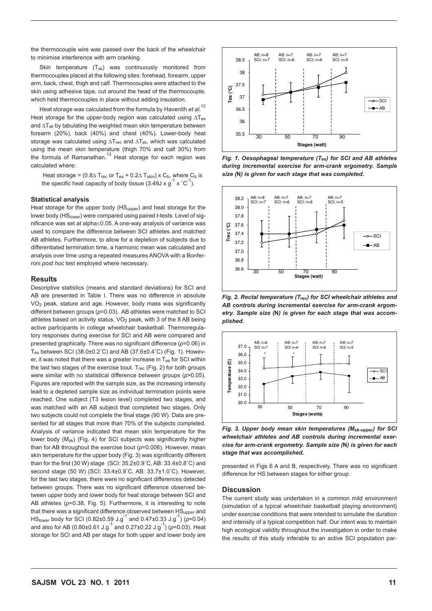the thermocouple wire was passed over the back of the wheelchair to minimise interference with arm cranking.

Skin temperature (T<sub>sk</sub>) was continuously monitored from thermocouples placed at the following sites: forehead, forearm, upper arm, back, chest, thigh and calf. Thermocouples were attached to the skin using adhesive tape, cut around the head of the thermocouple, which held thermocouples in place without adding insulation.

Heat storage was calculated from the formula by Havenith *et al*. 12 Heat storage for the upper-body region was calculated using ∆T<sub>es</sub> and ∆Tsk by tabulating the weighted mean skin temperature between forearm (20%), back (40%) and chest (40%). Lower-body heat storage was calculated using ∆T<sub>rec</sub> and ∆T<sub>sk</sub>, which was calculated using the mean skin temperature (thigh 70% and calf 30%) from the formula of Ramanathan.<sup>13</sup> Heat storage for each region was calculated where:

Heat storage = (0.8 $\triangle T_{\text{rec}}$  or T<sub>es</sub> + 0.2 $\triangle T_{\text{skin}}$ ) x C<sub>b</sub>, where C<sub>b</sub> is the specific heat capacity of body tissue (3.49J x  $g^{-1}$  x  $^{\circ}$ C<sup>-1</sup>).

#### **Statistical analysis**

Heat storage for the upper body (HS<sub>upper</sub>) and heat storage for the lower body (HS<sub>lower</sub>) were compared using paired *t*-tests. Level of significance was set at alpha≤0.05. A one-way analysis of variance was used to compare the difference between SCI athletes and matched AB athletes. Furthermore, to allow for a depletion of subjects due to differentiated termination time, a harmonic mean was calculated and analysis over time using a repeated measures ANOVA with a Bonferroni *post hoc* test employed where necessary.

#### **Results**

Descriptive statistics (means and standard deviations) for SCI and AB are presented in Table I. There was no difference in absolute VO2 peak, stature and age. However, body mass was significantly different between groups (*p*=0.03). AB athletes were matched to SCI athletes based on activity status,  $VO<sub>2</sub>$  peak, with 3 of the 8 AB being active participants in college wheelchair basketball. Thermoregulatory responses during exercise for SCI and AB were compared and presented graphically. There was no significant difference (*p*=0.06) in Tes between SCI (38.0±0.2˚C) and AB (37.6±0.4˚C) (Fig. 1). However, it was noted that there was a greater increase in T<sub>es</sub> for SCI within the last two stages of the exercise bout.  $T_{rec}$  (Fig. 2) for both groups were similar with no statistical difference between groups (*p*>0.05). Figures are reported with the sample size, as the increasing intensity lead to a depleted sample size as individual termination points were reached. One subject (T3 lesion level) completed two stages, and was matched with an AB subject that completed two stages. Only two subjects could not complete the final stage (90 W). Data are presented for all stages that more than 70% of the subjects completed. Analysis of variance indicated that mean skin temperature for the lower body (M<sub>sk</sub>) (Fig. 4) for SCI subjects was significantly higher than for AB throughout the exercise bout (*p*=0.006). However, mean skin temperature for the upper body (Fig. 3) was significantly different than for the first (30 W) stage (SCI: 35.2±0.9˚C, AB: 33.4±0.8˚C) and second stage (50 W) (SCI: 33.4±0.9˚C, AB: 33.7±1.0˚C). However, for the last two stages, there were no significant differences detected between groups. There was no significant difference observed between upper body and lower body for heat storage between SCI and AB athletes (*p*=0.38, Fig. 5). Furthermore, it is interesting to note that there was a significant difference observed between HS<sub>upper</sub> and HSlower body for SCI (0.82±0.59 J.g-1 and 0.47±0.33 J.g-1) (*p*=0.04) and also for AB (0.80±0.61 J.g<sup>-1</sup> and 0.27±0.22 J.g<sup>-1</sup>) ( $p=0.03$ ). Heat storage for SCI and AB per stage for both upper and lower body are



during incremental exercise for arm-crank ergometry. Sample *Fig. 1. Oesophageal temperature (T***es***) for SCI and AB athletes size (***N***) is given for each stage that was completed.*



*Fig. 2. Rectal temperature (T***rec***) for SCI wheelchair athletes and AB controls during incremental exercise for arm-crank ergometry. Sample size (***N***) is given for each stage that was accomplished.*



*Fig. 3. Upper body mean skin temperatures (M<sub>sk-upper</sub>) for SCI wheelchair athletes and AB controls during incremental exercise for arm-crank ergometry. Sample size (***N***) is given for each*  stage that was accomplished.

presented in Figs 6 A and B, respectively. There was no significant difference for HS between stages for either group.

#### **Discussion**

The current study was undertaken in a common mild environment (simulation of a typical wheelchair basketball playing environment) under exercise conditions that were intended to simulate the duration and intensity of a typical competition half. Our intent was to maintain high ecological validity throughout the investigation in order to make the results of this study inferable to an active SCI population par-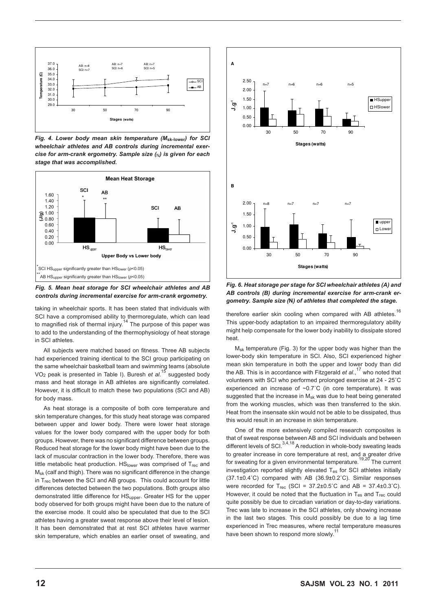

*Fig. 4. Lower body mean skin temperature (M***sk-lower***) for SCI*  wheelchair athletes and AB controls during incremental exer*cise for arm-crank ergometry. Sample size (*N*) is given for each stage that was accomplished.*



*Fig. 5. Mean heat storage for SCI wheelchair athletes and AB controls during incremental exercise for arm-crank ergometry.*

taking in wheelchair sports. It has been stated that individuals with SCI have a compromised ability to thermoregulate, which can lead<br>to magnified risk of thermal injury.<sup>14</sup> The purpose of this paper was to add to the understanding of the thermophysiology of heat storage in SCI athletes.

All subjects were matched based on fitness. Three AB subjects had experienced training identical to the SCI group participating on the same wheelchair basketball team and swimming teams (absolute VO2 peak is presented in Table I). Buresh *et al*. 15 suggested body mass and heat storage in AB athletes are significantly correlated. However, it is difficult to match these two populations (SCI and AB) for body mass.

As heat storage is a composite of both core temperature and skin temperature changes, for this study heat storage was compared between upper and lower body. There were lower heat storage values for the lower body compared with the upper body for both groups. However, there was no significant difference between groups. Reduced heat storage for the lower body might have been due to the lack of muscular contraction in the lower body. Therefore, there was little metabolic heat production.  $HS<sub>lower</sub>$  was comprised of  $T<sub>rec</sub>$  and Msk (calf and thigh). There was no significant difference in the change in T<sub>rec</sub> between the SCI and AB groups. This could account for little differences detected between the two populations. Both groups also demonstrated little difference for HSupper. Greater HS for the upper body observed for both groups might have been due to the nature of the exercise mode. It could also be speculated that due to the SCI athletes having a greater sweat response above their level of lesion. It has been demonstrated that at rest SCI athletes have warmer skin temperature, which enables an earlier onset of sweating, and



**stages (watts)**

*Fig. 6. Heat storage per stage for SCI wheelchair athletes (A) and AB controls (B) during incremental exercise for arm-crank er-*Fig. 6. *gometry. Sample size (***N***) of athletes that completed the stage.*

therefore earlier skin cooling when compared with AB athletes.<sup>16</sup> This upper-body adaptation to an impaired thermoregulatory ability might help compensate for the lower body inability to dissipate stored heat.

 $M_{sk}$  temperature (Fig. 3) for the upper body was higher than the lower-body skin temperature in SCI. Also, SCI experienced higher mean skin temperature in both the upper and lower body than did the AB. This is in accordance with Fitzgerald *et al*., 17 who noted that volunteers with SCI who performed prolonged exercise at 24 - 25˚C experienced an increase of ~0.7˚C (in core temperature). It was suggested that the increase in M<sub>sk</sub> was due to heat being generated from the working muscles, which was then transferred to the skin. Heat from the insensate skin would not be able to be dissipated, thus this would result in an increase in skin temperature.

One of the more extensively compiled research composites is that of sweat response between AB and SCI individuals and between different levels of SCI.  $3,4,18$  A reduction in whole-body sweating leads to greater increase in core temperature at rest, and a greater drive for sweating for a given environmental temperature.19,20 The current investigation reported slightly elevated T<sub>es</sub> for SCI athletes initially (37.1±0.4˚C) compared with AB (36.9±0.2˚C). Similar responses were recorded for  $T_{rec}$  (SCI = 37.2±0.5°C and AB = 37.4±0.3°C). However, it could be noted that the fluctuation in  $T_{es}$  and  $T_{rec}$  could quite possibly be due to circadian variation or day-to-day variations. Trec was late to increase in the SCI athletes, only showing increase in the last two stages. This could possibly be due to a lag time experienced in Trec measures, where rectal temperature measures have been shown to respond more slowly.